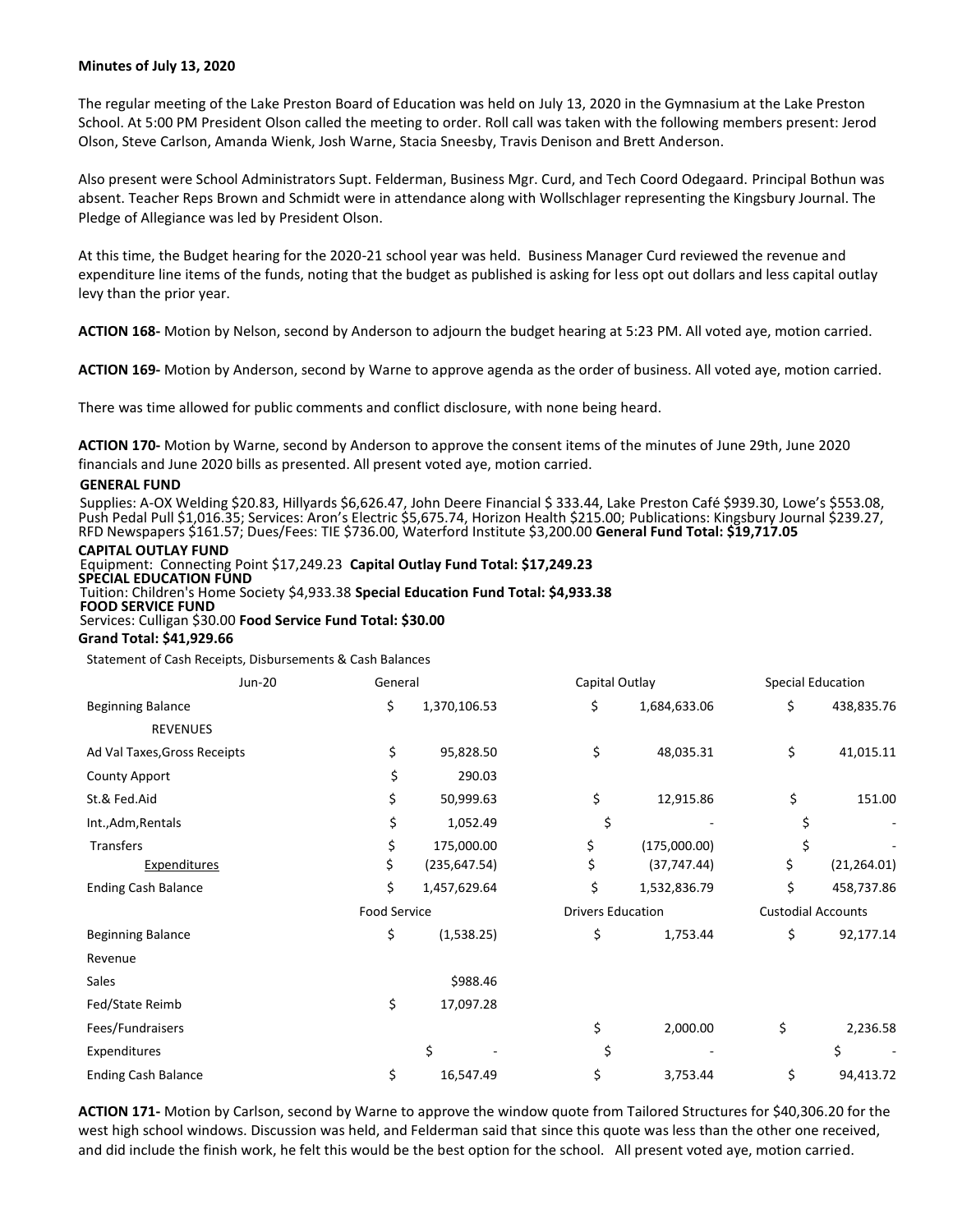# **Minutes of July 13, 2020**

The regular meeting of the Lake Preston Board of Education was held on July 13, 2020 in the Gymnasium at the Lake Preston School. At 5:00 PM President Olson called the meeting to order. Roll call was taken with the following members present: Jerod Olson, Steve Carlson, Amanda Wienk, Josh Warne, Stacia Sneesby, Travis Denison and Brett Anderson.

Also present were School Administrators Supt. Felderman, Business Mgr. Curd, and Tech Coord Odegaard. Principal Bothun was absent. Teacher Reps Brown and Schmidt were in attendance along with Wollschlager representing the Kingsbury Journal. The Pledge of Allegiance was led by President Olson.

At this time, the Budget hearing for the 2020-21 school year was held. Business Manager Curd reviewed the revenue and expenditure line items of the funds, noting that the budget as published is asking for less opt out dollars and less capital outlay levy than the prior year.

**ACTION 168-** Motion by Nelson, second by Anderson to adjourn the budget hearing at 5:23 PM. All voted aye, motion carried.

**ACTION 169-** Motion by Anderson, second by Warne to approve agenda as the order of business. All voted aye, motion carried.

There was time allowed for public comments and conflict disclosure, with none being heard.

**ACTION 170-** Motion by Warne, second by Anderson to approve the consent items of the minutes of June 29th, June 2020 financials and June 2020 bills as presented. All present voted aye, motion carried.

### **GENERAL FUND**

Supplies: A-OX Welding \$20.83, Hillyards \$6,626.47, John Deere Financial \$ 333.44, Lake Preston Café \$939.30, Lowe's \$553.08, Push Pedal Pull \$1,016.35; Services: Aron's Electric \$5,675.74, Horizon Health \$215.00; Publications: Kingsbury Journal \$239.27, RFD Newspapers \$161.57; Dues/Fees: TIE \$736.00, Waterford Institute \$3,200.00 **General Fund Total: \$19,717.05**

### **CAPITAL OUTLAY FUND**

Equipment: Connecting Point \$17,249.23 **Capital Outlay Fund Total: \$17,249.23 SPECIAL EDUCATION FUND** Tuition: Children's Home Society \$4,933.38 **Special Education Fund Total: \$4,933.38 FOOD SERVICE FUND**  Services: Culligan \$30.00 **Food Service Fund Total: \$30.00**

# **Grand Total: \$41,929.66**

Statement of Cash Receipts, Disbursements & Cash Balances

| <b>Jun-20</b>                | General             |    | Capital Outlay           |    | <b>Special Education</b>  |  |
|------------------------------|---------------------|----|--------------------------|----|---------------------------|--|
| <b>Beginning Balance</b>     | \$<br>1,370,106.53  | \$ | 1,684,633.06             | \$ | 438,835.76                |  |
| <b>REVENUES</b>              |                     |    |                          |    |                           |  |
| Ad Val Taxes, Gross Receipts | \$<br>95,828.50     | \$ | 48,035.31                | \$ | 41,015.11                 |  |
| County Apport                | \$<br>290.03        |    |                          |    |                           |  |
| St.& Fed.Aid                 | \$<br>50,999.63     | \$ | 12,915.86                | \$ | 151.00                    |  |
| Int., Adm, Rentals           | \$<br>1,052.49      | \$ |                          | \$ |                           |  |
| <b>Transfers</b>             | \$<br>175,000.00    | \$ | (175,000.00)             | \$ |                           |  |
| <b>Expenditures</b>          | \$<br>(235, 647.54) | \$ | (37, 747.44)             | \$ | (21, 264.01)              |  |
| <b>Ending Cash Balance</b>   | \$<br>1,457,629.64  | Ś  | 1,532,836.79             | \$ | 458,737.86                |  |
|                              | <b>Food Service</b> |    | <b>Drivers Education</b> |    | <b>Custodial Accounts</b> |  |
| <b>Beginning Balance</b>     | \$<br>(1,538.25)    | \$ | 1,753.44                 | \$ | 92,177.14                 |  |
| Revenue                      |                     |    |                          |    |                           |  |
| Sales                        | \$988.46            |    |                          |    |                           |  |
| Fed/State Reimb              | \$<br>17,097.28     |    |                          |    |                           |  |
| Fees/Fundraisers             |                     | \$ | 2,000.00                 | \$ | 2,236.58                  |  |
| Expenditures                 | \$                  |    |                          |    | \$                        |  |
| <b>Ending Cash Balance</b>   | \$<br>16,547.49     | \$ | 3,753.44                 | \$ | 94,413.72                 |  |

**ACTION 171-** Motion by Carlson, second by Warne to approve the window quote from Tailored Structures for \$40,306.20 for the west high school windows. Discussion was held, and Felderman said that since this quote was less than the other one received, and did include the finish work, he felt this would be the best option for the school. All present voted aye, motion carried.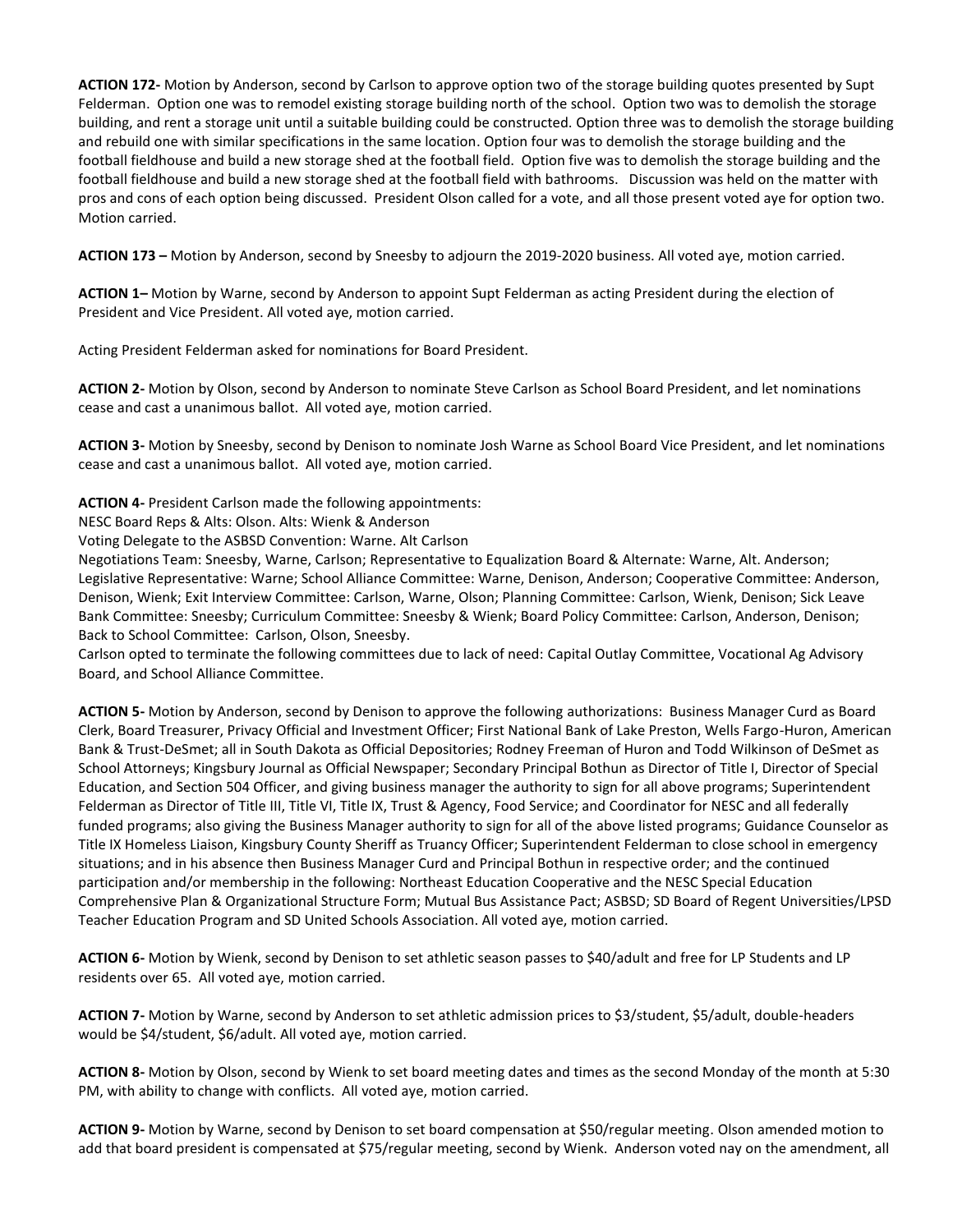**ACTION 172-** Motion by Anderson, second by Carlson to approve option two of the storage building quotes presented by Supt Felderman. Option one was to remodel existing storage building north of the school. Option two was to demolish the storage building, and rent a storage unit until a suitable building could be constructed. Option three was to demolish the storage building and rebuild one with similar specifications in the same location. Option four was to demolish the storage building and the football fieldhouse and build a new storage shed at the football field. Option five was to demolish the storage building and the football fieldhouse and build a new storage shed at the football field with bathrooms. Discussion was held on the matter with pros and cons of each option being discussed. President Olson called for a vote, and all those present voted aye for option two. Motion carried.

**ACTION 173 –** Motion by Anderson, second by Sneesby to adjourn the 2019-2020 business. All voted aye, motion carried.

**ACTION 1–** Motion by Warne, second by Anderson to appoint Supt Felderman as acting President during the election of President and Vice President. All voted aye, motion carried.

Acting President Felderman asked for nominations for Board President.

**ACTION 2-** Motion by Olson, second by Anderson to nominate Steve Carlson as School Board President, and let nominations cease and cast a unanimous ballot. All voted aye, motion carried.

**ACTION 3-** Motion by Sneesby, second by Denison to nominate Josh Warne as School Board Vice President, and let nominations cease and cast a unanimous ballot. All voted aye, motion carried.

**ACTION 4-** President Carlson made the following appointments:

NESC Board Reps & Alts: Olson. Alts: Wienk & Anderson

Voting Delegate to the ASBSD Convention: Warne. Alt Carlson

Negotiations Team: Sneesby, Warne, Carlson; Representative to Equalization Board & Alternate: Warne, Alt. Anderson; Legislative Representative: Warne; School Alliance Committee: Warne, Denison, Anderson; Cooperative Committee: Anderson, Denison, Wienk; Exit Interview Committee: Carlson, Warne, Olson; Planning Committee: Carlson, Wienk, Denison; Sick Leave Bank Committee: Sneesby; Curriculum Committee: Sneesby & Wienk; Board Policy Committee: Carlson, Anderson, Denison; Back to School Committee: Carlson, Olson, Sneesby.

Carlson opted to terminate the following committees due to lack of need: Capital Outlay Committee, Vocational Ag Advisory Board, and School Alliance Committee.

**ACTION 5-** Motion by Anderson, second by Denison to approve the following authorizations: Business Manager Curd as Board Clerk, Board Treasurer, Privacy Official and Investment Officer; First National Bank of Lake Preston, Wells Fargo-Huron, American Bank & Trust-DeSmet; all in South Dakota as Official Depositories; Rodney Freeman of Huron and Todd Wilkinson of DeSmet as School Attorneys; Kingsbury Journal as Official Newspaper; Secondary Principal Bothun as Director of Title I, Director of Special Education, and Section 504 Officer, and giving business manager the authority to sign for all above programs; Superintendent Felderman as Director of Title III, Title VI, Title IX, Trust & Agency, Food Service; and Coordinator for NESC and all federally funded programs; also giving the Business Manager authority to sign for all of the above listed programs; Guidance Counselor as Title IX Homeless Liaison, Kingsbury County Sheriff as Truancy Officer; Superintendent Felderman to close school in emergency situations; and in his absence then Business Manager Curd and Principal Bothun in respective order; and the continued participation and/or membership in the following: Northeast Education Cooperative and the NESC Special Education Comprehensive Plan & Organizational Structure Form; Mutual Bus Assistance Pact; ASBSD; SD Board of Regent Universities/LPSD Teacher Education Program and SD United Schools Association. All voted aye, motion carried.

**ACTION 6-** Motion by Wienk, second by Denison to set athletic season passes to \$40/adult and free for LP Students and LP residents over 65. All voted aye, motion carried.

**ACTION 7-** Motion by Warne, second by Anderson to set athletic admission prices to \$3/student, \$5/adult, double-headers would be \$4/student, \$6/adult. All voted aye, motion carried.

**ACTION 8-** Motion by Olson, second by Wienk to set board meeting dates and times as the second Monday of the month at 5:30 PM, with ability to change with conflicts. All voted aye, motion carried.

**ACTION 9-** Motion by Warne, second by Denison to set board compensation at \$50/regular meeting. Olson amended motion to add that board president is compensated at \$75/regular meeting, second by Wienk. Anderson voted nay on the amendment, all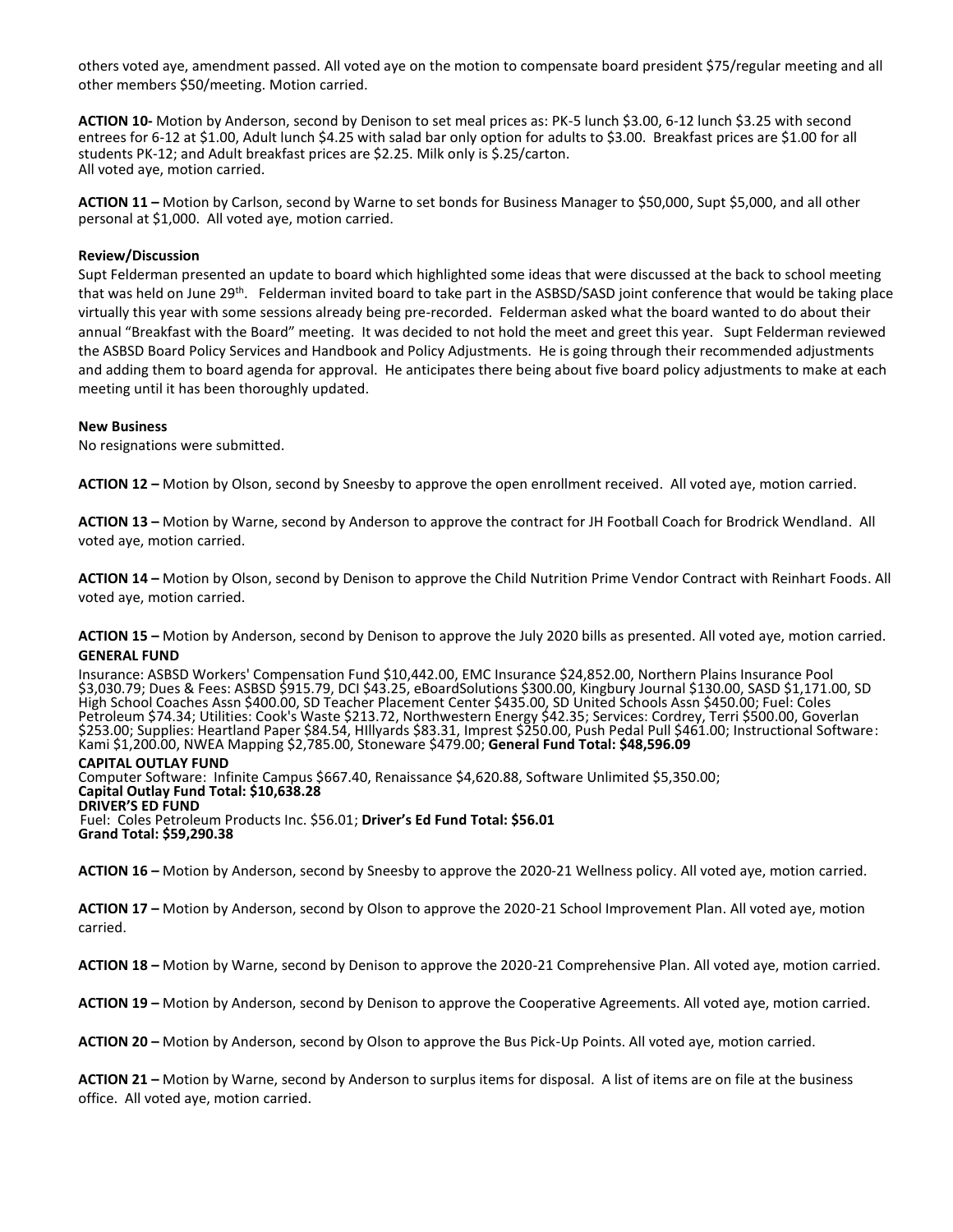others voted aye, amendment passed. All voted aye on the motion to compensate board president \$75/regular meeting and all other members \$50/meeting. Motion carried.

**ACTION 10-** Motion by Anderson, second by Denison to set meal prices as: PK-5 lunch \$3.00, 6-12 lunch \$3.25 with second entrees for 6-12 at \$1.00, Adult lunch \$4.25 with salad bar only option for adults to \$3.00. Breakfast prices are \$1.00 for all students PK-12; and Adult breakfast prices are \$2.25. Milk only is \$.25/carton. All voted aye, motion carried.

**ACTION 11 –** Motion by Carlson, second by Warne to set bonds for Business Manager to \$50,000, Supt \$5,000, and all other personal at \$1,000. All voted aye, motion carried.

# **Review/Discussion**

Supt Felderman presented an update to board which highlighted some ideas that were discussed at the back to school meeting that was held on June 29th. Felderman invited board to take part in the ASBSD/SASD joint conference that would be taking place virtually this year with some sessions already being pre-recorded. Felderman asked what the board wanted to do about their annual "Breakfast with the Board" meeting. It was decided to not hold the meet and greet this year. Supt Felderman reviewed the ASBSD Board Policy Services and Handbook and Policy Adjustments. He is going through their recommended adjustments and adding them to board agenda for approval. He anticipates there being about five board policy adjustments to make at each meeting until it has been thoroughly updated.

# **New Business**

No resignations were submitted.

**ACTION 12 –** Motion by Olson, second by Sneesby to approve the open enrollment received. All voted aye, motion carried.

**ACTION 13 –** Motion by Warne, second by Anderson to approve the contract for JH Football Coach for Brodrick Wendland. All voted aye, motion carried.

**ACTION 14 –** Motion by Olson, second by Denison to approve the Child Nutrition Prime Vendor Contract with Reinhart Foods. All voted aye, motion carried.

**ACTION 15 –** Motion by Anderson, second by Denison to approve the July 2020 bills as presented. All voted aye, motion carried. **GENERAL FUND**

Insurance: ASBSD Workers' Compensation Fund \$10,442.00, EMC Insurance \$24,852.00, Northern Plains Insurance Pool \$3,030.79; Dues & Fees: ASBSD \$915.79, DCI \$43.25, eBoardSolutions \$300.00, Kingbury Journal \$130.00, SASD \$1,171.00, SD High School Coaches Assn \$400.00, SD Teacher Placement Center \$435.00, SD United Schools Assn \$450.00; Fuel: Coles Petroleum \$74.34; Utilities: Cook's Waste \$213.72, Northwestern Energy \$42.35; Services: Cordrey, Terri \$500.00, Goverlan \$253.00; Supplies: Heartland Paper \$84.54, HIllyards \$83.31, Imprest \$250.00, Push Pedal Pull \$461.00; Instructional Software: Kami \$1,200.00, NWEA Mapping \$2,785.00, Stoneware \$479.00; **General Fund Total: \$48,596.09**

### **CAPITAL OUTLAY FUND**

Computer Software: Infinite Campus \$667.40, Renaissance \$4,620.88, Software Unlimited \$5,350.00; **Capital Outlay Fund Total: \$10,638.28 DRIVER'S ED FUND** Fuel: Coles Petroleum Products Inc. \$56.01; **Driver's Ed Fund Total: \$56.01 Grand Total: \$59,290.38**

**ACTION 16 –** Motion by Anderson, second by Sneesby to approve the 2020-21 Wellness policy. All voted aye, motion carried.

**ACTION 17 –** Motion by Anderson, second by Olson to approve the 2020-21 School Improvement Plan. All voted aye, motion carried.

**ACTION 18 –** Motion by Warne, second by Denison to approve the 2020-21 Comprehensive Plan. All voted aye, motion carried.

**ACTION 19 –** Motion by Anderson, second by Denison to approve the Cooperative Agreements. All voted aye, motion carried.

**ACTION 20 –** Motion by Anderson, second by Olson to approve the Bus Pick-Up Points. All voted aye, motion carried.

**ACTION 21 –** Motion by Warne, second by Anderson to surplus items for disposal. A list of items are on file at the business office. All voted aye, motion carried.